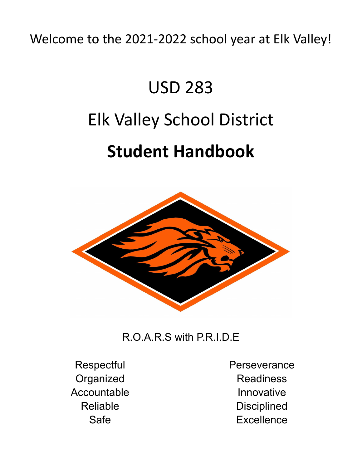Welcome to the 2021-2022 school year at Elk Valley!

# USD 283 Elk Valley School District **Student Handbook**



## R.O.A.R.S with P.R.I.D.E

**Respectful Organized** Accountable Reliable Safe

**Perseverance Readiness** Innovative **Disciplined Excellence**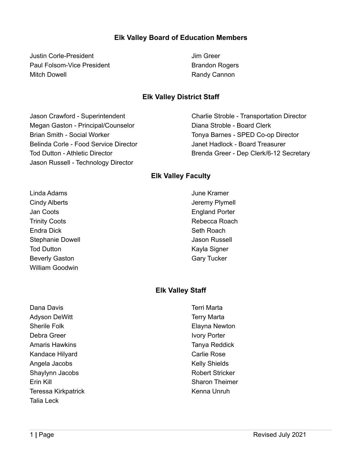## **Elk Valley Board of Education Members**

Justin Corle-President Paul Folsom-Vice President Mitch Dowell

Jim Greer Brandon Rogers Randy Cannon

#### **Elk Valley District Staff**

Jason Crawford - Superintendent Megan Gaston - Principal/Counselor Brian Smith - Social Worker Belinda Corle - Food Service Director Tod Dutton - Athletic Director Jason Russell - Technology Director

Charlie Stroble - Transportation Director Diana Stroble - Board Clerk Tonya Barnes - SPED Co-op Director Janet Hadlock - Board Treasurer Brenda Greer - Dep Clerk/6-12 Secretary

#### **Elk Valley Faculty**

Linda Adams Cindy Alberts Jan Coots Trinity Coots Endra Dick Stephanie Dowell Tod Dutton Beverly Gaston William Goodwin

June Kramer Jeremy Plymell England Porter Rebecca Roach Seth Roach Jason Russell Kayla Signer Gary Tucker

## **Elk Valley Staff**

Dana Davis Adyson DeWitt Sherile Folk Debra Greer Amaris Hawkins Kandace Hilyard Angela Jacobs Shaylynn Jacobs Erin Kill Teressa Kirkpatrick Talia Leck

Terri Marta Terry Marta Elayna Newton Ivory Porter Tanya Reddick Carlie Rose Kelly Shields Robert Stricker Sharon Theimer Kenna Unruh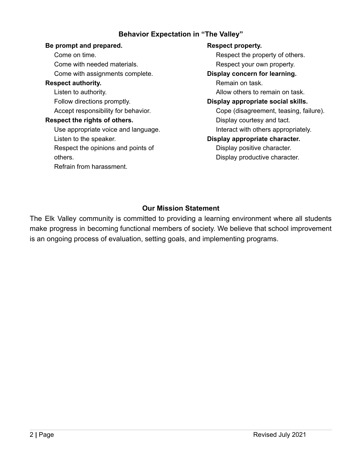## **Behavior Expectation in "The Valley"**

#### **Be prompt and prepared.**

Come on time. Come with needed materials. Come with assignments complete. **Respect authority.** Listen to authority. Follow directions promptly. Accept responsibility for behavior. **Respect the rights of others.** Use appropriate voice and language. Listen to the speaker. Respect the opinions and points of others. Refrain from harassment.

#### **Respect property.**

Respect the property of others. Respect your own property.

#### **Display concern for learning.**

Remain on task. Allow others to remain on task.

#### **Display appropriate social skills.**

Cope (disagreement, teasing, failure). Display courtesy and tact. Interact with others appropriately.

## **Display appropriate character.**

Display positive character. Display productive character.

## **Our Mission Statement**

The Elk Valley community is committed to providing a learning environment where all students make progress in becoming functional members of society. We believe that school improvement is an ongoing process of evaluation, setting goals, and implementing programs.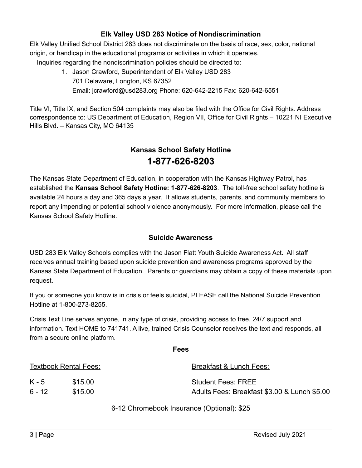#### **Elk Valley USD 283 Notice of Nondiscrimination**

Elk Valley Unified School District 283 does not discriminate on the basis of race, sex, color, national origin, or handicap in the educational programs or activities in which it operates.

Inquiries regarding the nondiscrimination policies should be directed to:

1. Jason Crawford, Superintendent of Elk Valley USD 283 701 Delaware, Longton, KS 67352 Email: [jcrawford@usd283.org](mailto:jcrawford@usd283.org) Phone: 620-642-2215 Fax: 620-642-6551

Title VI, Title IX, and Section 504 complaints may also be filed with the Office for Civil Rights. Address correspondence to: US Department of Education, Region VII, Office for Civil Rights – 10221 NI Executive Hills Blvd. – Kansas City, MO 64135

## **Kansas School Safety Hotline 1-877-626-8203**

The Kansas State Department of Education, in cooperation with the Kansas Highway Patrol, has established the **Kansas School Safety Hotline: 1-877-626-8203**. The toll-free school safety hotline is available 24 hours a day and 365 days a year. It allows students, parents, and community members to report any impending or potential school violence anonymously. For more information, please call the Kansas School Safety Hotline.

#### **Suicide Awareness**

USD 283 Elk Valley Schools complies with the Jason Flatt Youth Suicide Awareness Act. All staff receives annual training based upon suicide prevention and awareness programs approved by the Kansas State Department of Education. Parents or guardians may obtain a copy of these materials upon request.

If you or someone you know is in crisis or feels suicidal, PLEASE call the National Suicide Prevention Hotline at 1-800-273-8255.

Crisis Text Line serves anyone, in any type of crisis, providing access to free, 24/7 support and information. Text HOME to 741741. A live, trained Crisis Counselor receives the text and responds, all from a secure online platform.

| <b>Textbook Rental Fees:</b> |         | Breakfast & Lunch Fees:                      |  |
|------------------------------|---------|----------------------------------------------|--|
| K - 5                        | \$15.00 | <b>Student Fees: FREE</b>                    |  |
| ճ - 12                       | \$15.00 | Adults Fees: Breakfast \$3.00 & Lunch \$5.00 |  |
|                              |         |                                              |  |

**Fees**

6-12 Chromebook Insurance (Optional): \$25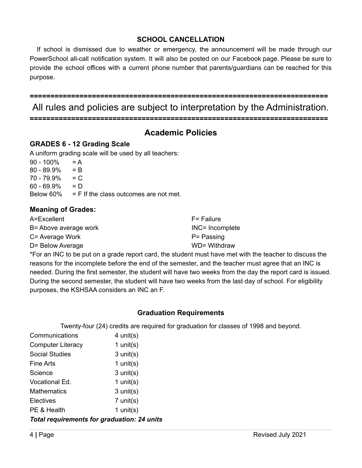## **SCHOOL CANCELLATION**

If school is dismissed due to weather or emergency, the announcement will be made through our PowerSchool all-call notification system. It will also be posted on our Facebook page. Please be sure to provide the school offices with a current phone number that parents/guardians can be reached for this purpose.

**========================================================================**

All rules and policies are subject to interpretation by the Administration.

**========================================================================**

## **Academic Policies**

## **GRADES 6 - 12 Grading Scale**

A uniform grading scale will be used by all teachers:

 $90 - 100\% = A$  $80 - 89.9\% = B$  $70 - 79.9\% = C$  $60 - 69.9\% = D$ Below  $60\%$  = F If the class outcomes are not met.

## **Meaning of Grades:**

| A=Excellent           | F= Failure      |
|-----------------------|-----------------|
| B= Above average work | INC= Incomplete |
| C= Average Work       | P= Passing      |
| D= Below Average      | WD= Withdraw    |

\*For an INC to be put on a grade report card, the student must have met with the teacher to discuss the reasons for the incomplete before the end of the semester, and the teacher must agree that an INC is needed. During the first semester, the student will have two weeks from the day the report card is issued. During the second semester, the student will have two weeks from the last day of school. For eligibility purposes, the KSHSAA considers an INC an F.

## **Graduation Requirements**

Twenty-four (24) credits are required for graduation for classes of 1998 and beyond.

| Communications                | $4$ unit(s)   |
|-------------------------------|---------------|
| <b>Computer Literacy</b>      | 1 unit(s)     |
| <b>Social Studies</b>         | $3$ unit(s)   |
| <b>Fine Arts</b>              | 1 unit(s)     |
| Science                       | $3$ unit(s)   |
| Vocational Ed.                | 1 unit( $s$ ) |
| <b>Mathematics</b>            | $3$ unit(s)   |
| Electives                     | $7$ unit(s)   |
| PE & Health                   | 1 unit(s)     |
| . <del>.</del> <del>.</del> . | 1. 45 04      |

*Total requirements for graduation: 24 units*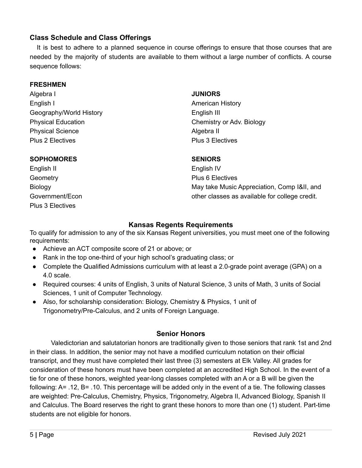## **Class Schedule and Class Offerings**

It is best to adhere to a planned sequence in course offerings to ensure that those courses that are needed by the majority of students are available to them without a large number of conflicts. A course sequence follows:

#### **FRESHMEN**

Algebra I English I Geography/World History Physical Education Physical Science Plus 2 Electives

#### **SOPHOMORES**

English II **Geometry Biology** Government/Econ Plus 3 Electives

#### **JUNIORS**

American History English III Chemistry or Adv. Biology Algebra II Plus 3 Electives

#### **SENIORS**

English IV Plus 6 Electives May take Music Appreciation, Comp I&II, and other classes as available for college credit.

#### **Kansas Regents Requirements**

To qualify for admission to any of the six Kansas Regent universities, you must meet one of the following requirements:

- Achieve an ACT composite score of 21 or above; or
- Rank in the top one-third of your high school's graduating class; or
- Complete the Qualified Admissions curriculum with at least a 2.0-grade point average (GPA) on a 4.0 scale.
- Required courses: 4 units of English, 3 units of Natural Science, 3 units of Math, 3 units of Social Sciences, 1 unit of Computer Technology.
- Also, for scholarship consideration: Biology, Chemistry & Physics, 1 unit of Trigonometry/Pre-Calculus, and 2 units of Foreign Language.

## **Senior Honors**

Valedictorian and salutatorian honors are traditionally given to those seniors that rank 1st and 2nd in their class. In addition, the senior may not have a modified curriculum notation on their official transcript, and they must have completed their last three (3) semesters at Elk Valley. All grades for consideration of these honors must have been completed at an accredited High School. In the event of a tie for one of these honors, weighted year-long classes completed with an A or a B will be given the following: A= .12, B= .10. This percentage will be added only in the event of a tie. The following classes are weighted: Pre-Calculus, Chemistry, Physics, Trigonometry, Algebra II, Advanced Biology, Spanish II and Calculus. The Board reserves the right to grant these honors to more than one (1) student. Part-time students are not eligible for honors.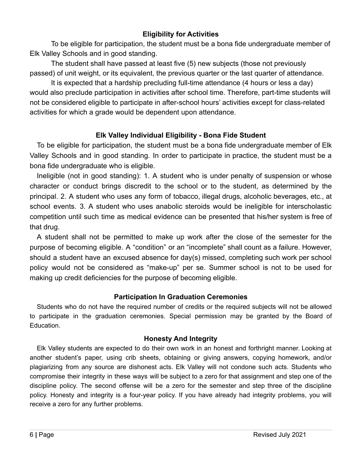## **Eligibility for Activities**

To be eligible for participation, the student must be a bona fide undergraduate member of Elk Valley Schools and in good standing.

The student shall have passed at least five (5) new subjects (those not previously passed) of unit weight, or its equivalent, the previous quarter or the last quarter of attendance.

It is expected that a hardship precluding full-time attendance (4 hours or less a day) would also preclude participation in activities after school time. Therefore, part-time students will not be considered eligible to participate in after-school hours' activities except for class-related activities for which a grade would be dependent upon attendance.

## **Elk Valley Individual Eligibility - Bona Fide Student**

To be eligible for participation, the student must be a bona fide undergraduate member of Elk Valley Schools and in good standing. In order to participate in practice, the student must be a bona fide undergraduate who is eligible.

Ineligible (not in good standing): 1. A student who is under penalty of suspension or whose character or conduct brings discredit to the school or to the student, as determined by the principal. 2. A student who uses any form of tobacco, illegal drugs, alcoholic beverages, etc., at school events. 3. A student who uses anabolic steroids would be ineligible for interscholastic competition until such time as medical evidence can be presented that his/her system is free of that drug.

A student shall not be permitted to make up work after the close of the semester for the purpose of becoming eligible. A "condition" or an "incomplete" shall count as a failure. However, should a student have an excused absence for day(s) missed, completing such work per school policy would not be considered as "make-up" per se. Summer school is not to be used for making up credit deficiencies for the purpose of becoming eligible.

## **Participation In Graduation Ceremonies**

Students who do not have the required number of credits or the required subjects will not be allowed to participate in the graduation ceremonies. Special permission may be granted by the Board of Education.

## **Honesty And Integrity**

Elk Valley students are expected to do their own work in an honest and forthright manner. Looking at another student's paper, using crib sheets, obtaining or giving answers, copying homework, and/or plagiarizing from any source are dishonest acts. Elk Valley will not condone such acts. Students who compromise their integrity in these ways will be subject to a zero for that assignment and step one of the discipline policy. The second offense will be a zero for the semester and step three of the discipline policy. Honesty and integrity is a four-year policy. If you have already had integrity problems, you will receive a zero for any further problems.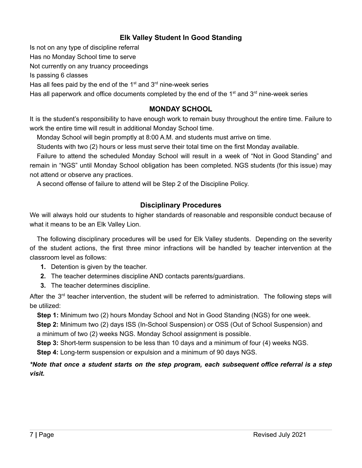## **Elk Valley Student In Good Standing**

Is not on any type of discipline referral

Has no Monday School time to serve

Not currently on any truancy proceedings

Is passing 6 classes

Has all fees paid by the end of the  $1<sup>st</sup>$  and  $3<sup>rd</sup>$  nine-week series

Has all paperwork and office documents completed by the end of the  $1<sup>st</sup>$  and  $3<sup>rd</sup>$  nine-week series

## **MONDAY SCHOOL**

It is the student's responsibility to have enough work to remain busy throughout the entire time. Failure to work the entire time will result in additional Monday School time.

Monday School will begin promptly at 8:00 A.M. and students must arrive on time.

Students with two (2) hours or less must serve their total time on the first Monday available.

Failure to attend the scheduled Monday School will result in a week of "Not in Good Standing" and remain in "NGS" until Monday School obligation has been completed. NGS students (for this issue) may not attend or observe any practices.

A second offense of failure to attend will be Step 2 of the Discipline Policy.

## **Disciplinary Procedures**

We will always hold our students to higher standards of reasonable and responsible conduct because of what it means to be an Elk Valley Lion.

The following disciplinary procedures will be used for Elk Valley students. Depending on the severity of the student actions, the first three minor infractions will be handled by teacher intervention at the classroom level as follows:

- **1.** Detention is given by the teacher.
- **2.** The teacher determines discipline AND contacts parents/guardians.
- **3.** The teacher determines discipline.

After the 3<sup>rd</sup> teacher intervention, the student will be referred to administration. The following steps will be utilized:

**Step 1:** Minimum two (2) hours Monday School and Not in Good Standing (NGS) for one week.

**Step 2:** Minimum two (2) days ISS (In-School Suspension) or OSS (Out of School Suspension) and a minimum of two (2) weeks NGS. Monday School assignment is possible.

**Step 3:** Short-term suspension to be less than 10 days and a minimum of four (4) weeks NGS.

**Step 4:** Long-term suspension or expulsion and a minimum of 90 days NGS.

## *\*Note that once a student starts on the step program, each subsequent office referral is a step visit.*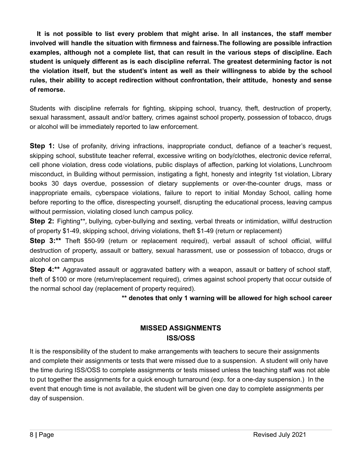**It is not possible to list every problem that might arise. In all instances, the staff member involved will handle the situation with firmness and fairness.The following are possible infraction examples, although not a complete list, that can result in the various steps of discipline. Each student is uniquely different as is each discipline referral. The greatest determining factor is not the violation itself, but the student's intent as well as their willingness to abide by the school rules, their ability to accept redirection without confrontation, their attitude, honesty and sense of remorse.**

Students with discipline referrals for fighting, skipping school, truancy, theft, destruction of property, sexual harassment, assault and/or battery, crimes against school property, possession of tobacco, drugs or alcohol will be immediately reported to law enforcement.

**Step 1:** Use of profanity, driving infractions, inappropriate conduct, defiance of a teacher's request, skipping school, substitute teacher referral, excessive writing on body/clothes, electronic device referral, cell phone violation, dress code violations, public displays of affection, parking lot violations, Lunchroom misconduct, in Building without permission, instigating a fight, honesty and integrity 1st violation, Library books 30 days overdue, possession of dietary supplements or over-the-counter drugs, mass or inappropriate emails, cyberspace violations, failure to report to initial Monday School, calling home before reporting to the office, disrespecting yourself, disrupting the educational process, leaving campus without permission, violating closed lunch campus policy.

**Step 2:** Fighting\*\*, bullying, cyber-bullying and sexting, verbal threats or intimidation, willful destruction of property \$1-49, skipping school, driving violations, theft \$1-49 (return or replacement)

**Step 3:\*\*** Theft \$50-99 (return or replacement required), verbal assault of school official, willful destruction of property, assault or battery, sexual harassment, use or possession of tobacco, drugs or alcohol on campus

**Step 4:\*\*** Aggravated assault or aggravated battery with a weapon, assault or battery of school staff, theft of \$100 or more (return/replacement required), crimes against school property that occur outside of the normal school day (replacement of property required).

**\*\* denotes that only 1 warning will be allowed for high school career**

## **MISSED ASSIGNMENTS ISS/OSS**

It is the responsibility of the student to make arrangements with teachers to secure their assignments and complete their assignments or tests that were missed due to a suspension. A student will only have the time during ISS/OSS to complete assignments or tests missed unless the teaching staff was not able to put together the assignments for a quick enough turnaround (exp. for a one-day suspension.) In the event that enough time is not available, the student will be given one day to complete assignments per day of suspension.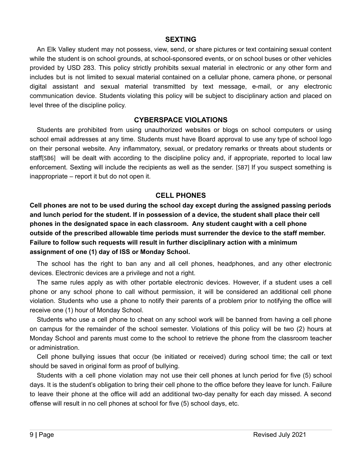#### **SEXTING**

An Elk Valley student may not possess, view, send, or share pictures or text containing sexual content while the student is on school grounds, at school-sponsored events, or on school buses or other vehicles provided by USD 283. This policy strictly prohibits sexual material in electronic or any other form and includes but is not limited to sexual material contained on a cellular phone, camera phone, or personal digital assistant and sexual material transmitted by text message, e-mail, or any electronic communication device. Students violating this policy will be subject to disciplinary action and placed on level three of the discipline policy.

#### **CYBERSPACE VIOLATIONS**

Students are prohibited from using unauthorized websites or blogs on school computers or using school email addresses at any time. Students must have Board approval to use any type of school logo on their personal website. Any inflammatory, sexual, or predatory remarks or threats about students or staff[SB6] will be dealt with according to the discipline policy and, if appropriate, reported to local law enforcement. Sexting will include the recipients as well as the sender. [SB7] If you suspect something is inappropriate – report it but do not open it.

#### **CELL PHONES**

**Cell phones are not to be used during the school day except during the assigned passing periods and lunch period for the student. If in possession of a device, the student shall place their cell phones in the designated space in each classroom. Any student caught with a cell phone outside of the prescribed allowable time periods must surrender the device to the staff member. Failure to follow such requests will result in further disciplinary action with a minimum assignment of one (1) day of ISS or Monday School.**

The school has the right to ban any and all cell phones, headphones, and any other electronic devices. Electronic devices are a privilege and not a right.

The same rules apply as with other portable electronic devices. However, if a student uses a cell phone or any school phone to call without permission, it will be considered an additional cell phone violation. Students who use a phone to notify their parents of a problem prior to notifying the office will receive one (1) hour of Monday School.

Students who use a cell phone to cheat on any school work will be banned from having a cell phone on campus for the remainder of the school semester. Violations of this policy will be two (2) hours at Monday School and parents must come to the school to retrieve the phone from the classroom teacher or administration.

Cell phone bullying issues that occur (be initiated or received) during school time; the call or text should be saved in original form as proof of bullying.

Students with a cell phone violation may not use their cell phones at lunch period for five (5) school days. It is the student's obligation to bring their cell phone to the office before they leave for lunch. Failure to leave their phone at the office will add an additional two-day penalty for each day missed. A second offense will result in no cell phones at school for five (5) school days, etc.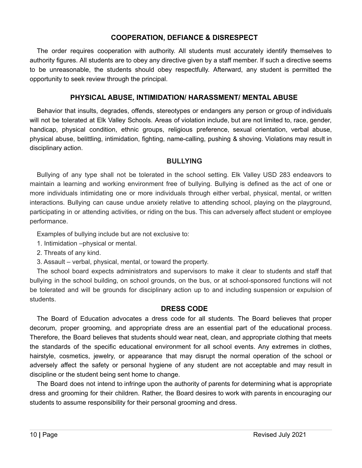#### **COOPERATION, DEFIANCE & DISRESPECT**

The order requires cooperation with authority. All students must accurately identify themselves to authority figures. All students are to obey any directive given by a staff member. If such a directive seems to be unreasonable, the students should obey respectfully. Afterward, any student is permitted the opportunity to seek review through the principal.

#### **PHYSICAL ABUSE, INTIMIDATION/ HARASSMENT/ MENTAL ABUSE**

Behavior that insults, degrades, offends, stereotypes or endangers any person or group of individuals will not be tolerated at Elk Valley Schools. Areas of violation include, but are not limited to, race, gender, handicap, physical condition, ethnic groups, religious preference, sexual orientation, verbal abuse, physical abuse, belittling, intimidation, fighting, name-calling, pushing & shoving. Violations may result in disciplinary action.

#### **BULLYING**

Bullying of any type shall not be tolerated in the school setting. Elk Valley USD 283 endeavors to maintain a learning and working environment free of bullying. Bullying is defined as the act of one or more individuals intimidating one or more individuals through either verbal, physical, mental, or written interactions. Bullying can cause undue anxiety relative to attending school, playing on the playground, participating in or attending activities, or riding on the bus. This can adversely affect student or employee performance.

Examples of bullying include but are not exclusive to:

- 1. Intimidation –physical or mental.
- 2. Threats of any kind.

3. Assault – verbal, physical, mental, or toward the property.

The school board expects administrators and supervisors to make it clear to students and staff that bullying in the school building, on school grounds, on the bus, or at school-sponsored functions will not be tolerated and will be grounds for disciplinary action up to and including suspension or expulsion of students.

#### **DRESS CODE**

The Board of Education advocates a dress code for all students. The Board believes that proper decorum, proper grooming, and appropriate dress are an essential part of the educational process. Therefore, the Board believes that students should wear neat, clean, and appropriate clothing that meets the standards of the specific educational environment for all school events. Any extremes in clothes, hairstyle, cosmetics, jewelry, or appearance that may disrupt the normal operation of the school or adversely affect the safety or personal hygiene of any student are not acceptable and may result in discipline or the student being sent home to change.

The Board does not intend to infringe upon the authority of parents for determining what is appropriate dress and grooming for their children. Rather, the Board desires to work with parents in encouraging our students to assume responsibility for their personal grooming and dress.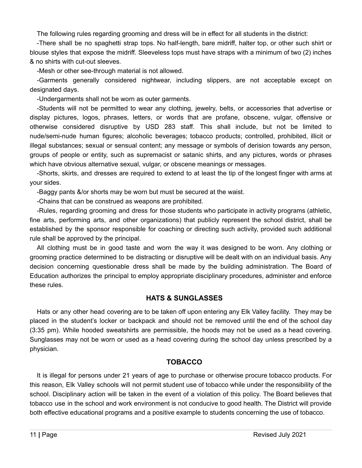The following rules regarding grooming and dress will be in effect for all students in the district:

-There shall be no spaghetti strap tops. No half-length, bare midriff, halter top, or other such shirt or blouse styles that expose the midriff. Sleeveless tops must have straps with a minimum of two (2) inches & no shirts with cut-out sleeves.

-Mesh or other see-through material is not allowed.

-Garments generally considered nightwear, including slippers, are not acceptable except on designated days.

-Undergarments shall not be worn as outer garments.

-Students will not be permitted to wear any clothing, jewelry, belts, or accessories that advertise or display pictures, logos, phrases, letters, or words that are profane, obscene, vulgar, offensive or otherwise considered disruptive by USD 283 staff. This shall include, but not be limited to nude/semi-nude human figures; alcoholic beverages; tobacco products; controlled, prohibited, illicit or illegal substances; sexual or sensual content; any message or symbols of derision towards any person, groups of people or entity, such as supremacist or satanic shirts, and any pictures, words or phrases which have obvious alternative sexual, vulgar, or obscene meanings or messages.

-Shorts, skirts, and dresses are required to extend to at least the tip of the longest finger with arms at your sides.

-Baggy pants &/or shorts may be worn but must be secured at the waist.

-Chains that can be construed as weapons are prohibited.

-Rules, regarding grooming and dress for those students who participate in activity programs (athletic, fine arts, performing arts, and other organizations) that publicly represent the school district, shall be established by the sponsor responsible for coaching or directing such activity, provided such additional rule shall be approved by the principal.

All clothing must be in good taste and worn the way it was designed to be worn. Any clothing or grooming practice determined to be distracting or disruptive will be dealt with on an individual basis. Any decision concerning questionable dress shall be made by the building administration. The Board of Education authorizes the principal to employ appropriate disciplinary procedures, administer and enforce these rules.

## **HATS & SUNGLASSES**

Hats or any other head covering are to be taken off upon entering any Elk Valley facility. They may be placed in the student's locker or backpack and should not be removed until the end of the school day (3:35 pm). While hooded sweatshirts are permissible, the hoods may not be used as a head covering. Sunglasses may not be worn or used as a head covering during the school day unless prescribed by a physician.

## **TOBACCO**

It is illegal for persons under 21 years of age to purchase or otherwise procure tobacco products. For this reason, Elk Valley schools will not permit student use of tobacco while under the responsibility of the school. Disciplinary action will be taken in the event of a violation of this policy. The Board believes that tobacco use in the school and work environment is not conducive to good health. The District will provide both effective educational programs and a positive example to students concerning the use of tobacco.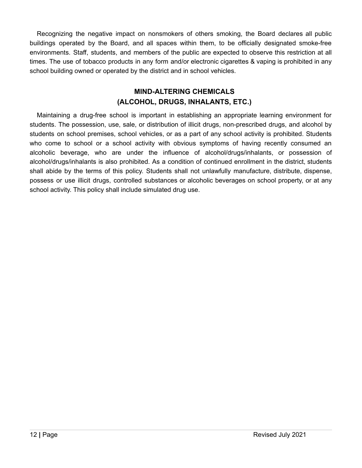Recognizing the negative impact on nonsmokers of others smoking, the Board declares all public buildings operated by the Board, and all spaces within them, to be officially designated smoke-free environments. Staff, students, and members of the public are expected to observe this restriction at all times. The use of tobacco products in any form and/or electronic cigarettes & vaping is prohibited in any school building owned or operated by the district and in school vehicles.

## **MIND-ALTERING CHEMICALS (ALCOHOL, DRUGS, INHALANTS, ETC.)**

Maintaining a drug-free school is important in establishing an appropriate learning environment for students. The possession, use, sale, or distribution of illicit drugs, non-prescribed drugs, and alcohol by students on school premises, school vehicles, or as a part of any school activity is prohibited. Students who come to school or a school activity with obvious symptoms of having recently consumed an alcoholic beverage, who are under the influence of alcohol/drugs/inhalants, or possession of alcohol/drugs/inhalants is also prohibited. As a condition of continued enrollment in the district, students shall abide by the terms of this policy. Students shall not unlawfully manufacture, distribute, dispense, possess or use illicit drugs, controlled substances or alcoholic beverages on school property, or at any school activity. This policy shall include simulated drug use.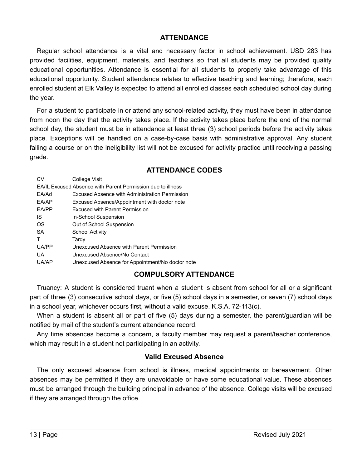#### **ATTENDANCE**

Regular school attendance is a vital and necessary factor in school achievement. USD 283 has provided facilities, equipment, materials, and teachers so that all students may be provided quality educational opportunities. Attendance is essential for all students to properly take advantage of this educational opportunity. Student attendance relates to effective teaching and learning; therefore, each enrolled student at Elk Valley is expected to attend all enrolled classes each scheduled school day during the year.

For a student to participate in or attend any school-related activity, they must have been in attendance from noon the day that the activity takes place. If the activity takes place before the end of the normal school day, the student must be in attendance at least three (3) school periods before the activity takes place. Exceptions will be handled on a case-by-case basis with administrative approval. Any student failing a course or on the ineligibility list will not be excused for activity practice until receiving a passing grade.

| <b>ATTENDANCE CODES</b> |  |
|-------------------------|--|
|-------------------------|--|

| EA/IL Excused Absence with Parent Permission due to illness<br>EA/Ad<br>Excused Absence with Administration Permission<br>EA/AP<br>Excused Absence/Appointment with doctor note<br>EA/PP<br><b>Excused with Parent Permission</b><br>IS<br>In-School Suspension<br>OS<br>Out of School Suspension<br>SA<br><b>School Activity</b><br>т<br>Tardy<br>UA/PP<br>Unexcused Absence with Parent Permission<br>UA<br>Unexcused Absence/No Contact | CV    | College Visit                                    |  |
|--------------------------------------------------------------------------------------------------------------------------------------------------------------------------------------------------------------------------------------------------------------------------------------------------------------------------------------------------------------------------------------------------------------------------------------------|-------|--------------------------------------------------|--|
|                                                                                                                                                                                                                                                                                                                                                                                                                                            |       |                                                  |  |
|                                                                                                                                                                                                                                                                                                                                                                                                                                            |       |                                                  |  |
|                                                                                                                                                                                                                                                                                                                                                                                                                                            |       |                                                  |  |
|                                                                                                                                                                                                                                                                                                                                                                                                                                            |       |                                                  |  |
|                                                                                                                                                                                                                                                                                                                                                                                                                                            |       |                                                  |  |
|                                                                                                                                                                                                                                                                                                                                                                                                                                            |       |                                                  |  |
|                                                                                                                                                                                                                                                                                                                                                                                                                                            |       |                                                  |  |
|                                                                                                                                                                                                                                                                                                                                                                                                                                            |       |                                                  |  |
|                                                                                                                                                                                                                                                                                                                                                                                                                                            |       |                                                  |  |
|                                                                                                                                                                                                                                                                                                                                                                                                                                            |       |                                                  |  |
|                                                                                                                                                                                                                                                                                                                                                                                                                                            | UA/AP | Unexcused Absence for Appointment/No doctor note |  |

## **COMPULSORY ATTENDANCE**

Truancy: A student is considered truant when a student is absent from school for all or a significant part of three (3) consecutive school days, or five (5) school days in a semester, or seven (7) school days in a school year, whichever occurs first, without a valid excuse. K.S.A. 72-113(c).

When a student is absent all or part of five (5) days during a semester, the parent/guardian will be notified by mail of the student's current attendance record.

Any time absences become a concern, a faculty member may request a parent/teacher conference, which may result in a student not participating in an activity.

#### **Valid Excused Absence**

The only excused absence from school is illness, medical appointments or bereavement. Other absences may be permitted if they are unavoidable or have some educational value. These absences must be arranged through the building principal in advance of the absence. College visits will be excused if they are arranged through the office.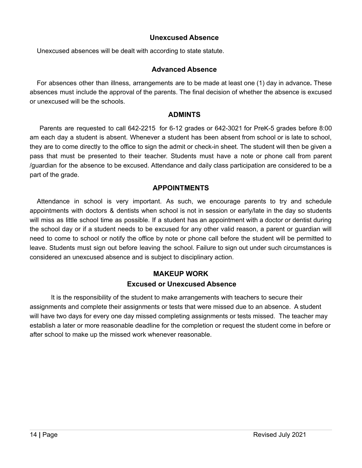#### **Unexcused Absence**

Unexcused absences will be dealt with according to state statute.

#### **Advanced Absence**

For absences other than illness, arrangements are to be made at least one (1) day in advance*.* These absences must include the approval of the parents. The final decision of whether the absence is excused or unexcused will be the schools.

#### **ADMINTS**

Parents are requested to call 642-2215 for 6-12 grades or 642-3021 for PreK-5 grades before 8:00 am each day a student is absent. Whenever a student has been absent from school or is late to school, they are to come directly to the office to sign the admit or check-in sheet. The student will then be given a pass that must be presented to their teacher. Students must have a note or phone call from parent /guardian for the absence to be excused. Attendance and daily class participation are considered to be a part of the grade.

#### **APPOINTMENTS**

Attendance in school is very important. As such, we encourage parents to try and schedule appointments with doctors & dentists when school is not in session or early/late in the day so students will miss as little school time as possible. If a student has an appointment with a doctor or dentist during the school day or if a student needs to be excused for any other valid reason, a parent or guardian will need to come to school or notify the office by note or phone call before the student will be permitted to leave. Students must sign out before leaving the school. Failure to sign out under such circumstances is considered an unexcused absence and is subject to disciplinary action.

## **MAKEUP WORK Excused or Unexcused Absence**

It is the responsibility of the student to make arrangements with teachers to secure their assignments and complete their assignments or tests that were missed due to an absence. A student will have two days for every one day missed completing assignments or tests missed. The teacher may establish a later or more reasonable deadline for the completion or request the student come in before or after school to make up the missed work whenever reasonable.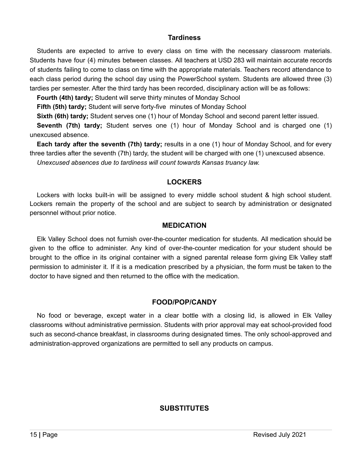#### **Tardiness**

Students are expected to arrive to every class on time with the necessary classroom materials. Students have four (4) minutes between classes. All teachers at USD 283 will maintain accurate records of students failing to come to class on time with the appropriate materials. Teachers record attendance to each class period during the school day using the PowerSchool system. Students are allowed three (3) tardies per semester. After the third tardy has been recorded, disciplinary action will be as follows:

**Fourth (4th) tardy;** Student will serve thirty minutes of Monday School

**Fifth (5th) tardy;** Student will serve forty-five minutes of Monday School

**Sixth (6th) tardy;** Student serves one (1) hour of Monday School and second parent letter issued.

**Seventh (7th) tardy;** Student serves one (1) hour of Monday School and is charged one (1) unexcused absence.

**Each tardy after the seventh (7th) tardy;** results in a one (1) hour of Monday School, and for every three tardies after the seventh (7th) tardy, the student will be charged with one (1) unexcused absence. *Unexcused absences due to tardiness will count towards Kansas truancy law.*

## **LOCKERS**

Lockers with locks built-in will be assigned to every middle school student & high school student. Lockers remain the property of the school and are subject to search by administration or designated personnel without prior notice.

#### **MEDICATION**

Elk Valley School does not furnish over-the-counter medication for students. All medication should be given to the office to administer. Any kind of over-the-counter medication for your student should be brought to the office in its original container with a signed parental release form giving Elk Valley staff permission to administer it. If it is a medication prescribed by a physician, the form must be taken to the doctor to have signed and then returned to the office with the medication.

## **FOOD/POP/CANDY**

No food or beverage, except water in a clear bottle with a closing lid, is allowed in Elk Valley classrooms without administrative permission. Students with prior approval may eat school-provided food such as second-chance breakfast, in classrooms during designated times. The only school-approved and administration-approved organizations are permitted to sell any products on campus.

## **SUBSTITUTES**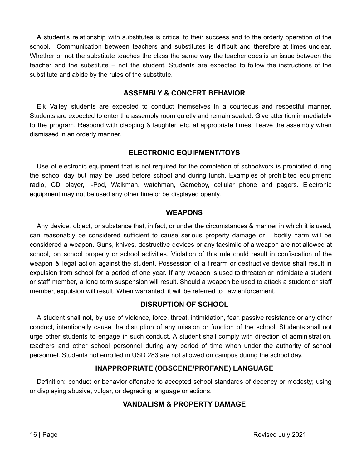A student's relationship with substitutes is critical to their success and to the orderly operation of the school. Communication between teachers and substitutes is difficult and therefore at times unclear. Whether or not the substitute teaches the class the same way the teacher does is an issue between the teacher and the substitute – not the student. Students are expected to follow the instructions of the substitute and abide by the rules of the substitute.

#### **ASSEMBLY & CONCERT BEHAVIOR**

Elk Valley students are expected to conduct themselves in a courteous and respectful manner. Students are expected to enter the assembly room quietly and remain seated. Give attention immediately to the program. Respond with clapping & laughter, etc. at appropriate times. Leave the assembly when dismissed in an orderly manner.

## **ELECTRONIC EQUIPMENT/TOYS**

Use of electronic equipment that is not required for the completion of schoolwork is prohibited during the school day but may be used before school and during lunch. Examples of prohibited equipment: radio, CD player, I-Pod, Walkman, watchman, Gameboy, cellular phone and pagers. Electronic equipment may not be used any other time or be displayed openly.

#### **WEAPONS**

Any device, object, or substance that, in fact, or under the circumstances & manner in which it is used, can reasonably be considered sufficient to cause serious property damage or bodily harm will be considered a weapon. Guns, knives, destructive devices or any facsimile of a weapon are not allowed at school, on school property or school activities. Violation of this rule could result in confiscation of the weapon & legal action against the student. Possession of a firearm or destructive device shall result in expulsion from school for a period of one year. If any weapon is used to threaten or intimidate a student or staff member, a long term suspension will result. Should a weapon be used to attack a student or staff member, expulsion will result. When warranted, it will be referred to law enforcement.

## **DISRUPTION OF SCHOOL**

A student shall not, by use of violence, force, threat, intimidation, fear, passive resistance or any other conduct, intentionally cause the disruption of any mission or function of the school. Students shall not urge other students to engage in such conduct. A student shall comply with direction of administration, teachers and other school personnel during any period of time when under the authority of school personnel. Students not enrolled in USD 283 are not allowed on campus during the school day.

## **INAPPROPRIATE (OBSCENE/PROFANE) LANGUAGE**

Definition: conduct or behavior offensive to accepted school standards of decency or modesty; using or displaying abusive, vulgar, or degrading language or actions.

## **VANDALISM & PROPERTY DAMAGE**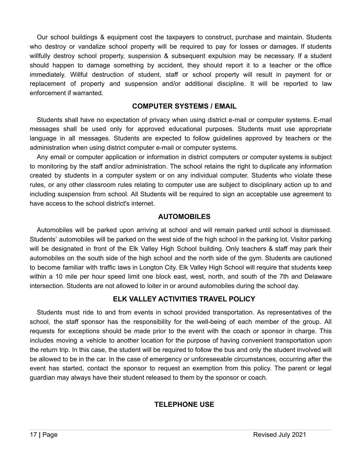Our school buildings & equipment cost the taxpayers to construct, purchase and maintain. Students who destroy or vandalize school property will be required to pay for losses or damages. If students willfully destroy school property, suspension & subsequent expulsion may be necessary. If a student should happen to damage something by accident, they should report it to a teacher or the office immediately. Willful destruction of student, staff or school property will result in payment for or replacement of property and suspension and/or additional discipline. It will be reported to law enforcement if warranted.

#### **COMPUTER SYSTEMS / EMAIL**

Students shall have no expectation of privacy when using district e-mail or computer systems. E-mail messages shall be used only for approved educational purposes. Students must use appropriate language in all messages. Students are expected to follow guidelines approved by teachers or the administration when using district computer e-mail or computer systems.

Any email or computer application or information in district computers or computer systems is subject to monitoring by the staff and/or administration. The school retains the right to duplicate any information created by students in a computer system or on any individual computer. Students who violate these rules, or any other classroom rules relating to computer use are subject to disciplinary action up to and including suspension from school. All Students will be required to sign an acceptable use agreement to have access to the school district's internet.

#### **AUTOMOBILES**

Automobiles will be parked upon arriving at school and will remain parked until school is dismissed. Students' automobiles will be parked on the west side of the high school in the parking lot. Visitor parking will be designated in front of the Elk Valley High School building. Only teachers & staff may park their automobiles on the south side of the high school and the north side of the gym. Students are cautioned to become familiar with traffic laws in Longton City. Elk Valley High School will require that students keep within a 10 mile per hour speed limit one block east, west, north, and south of the 7th and Delaware intersection. Students are not allowed to loiter in or around automobiles during the school day.

## **ELK VALLEY ACTIVITIES TRAVEL POLICY**

Students must ride to and from events in school provided transportation. As representatives of the school, the staff sponsor has the responsibility for the well-being of each member of the group. All requests for exceptions should be made prior to the event with the coach or sponsor in charge. This includes moving a vehicle to another location for the purpose of having convenient transportation upon the return trip. In this case, the student will be required to follow the bus and only the student involved will be allowed to be in the car. In the case of emergency or unforeseeable circumstances, occurring after the event has started, contact the sponsor to request an exemption from this policy. The parent or legal guardian may always have their student released to them by the sponsor or coach.

## **TELEPHONE USE**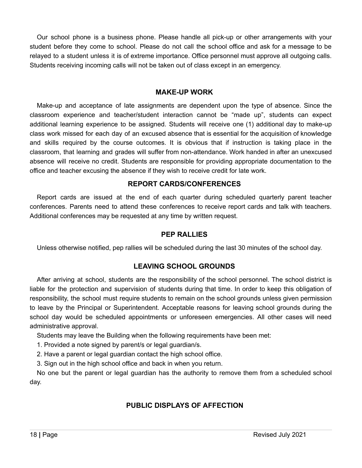Our school phone is a business phone. Please handle all pick-up or other arrangements with your student before they come to school. Please do not call the school office and ask for a message to be relayed to a student unless it is of extreme importance. Office personnel must approve all outgoing calls. Students receiving incoming calls will not be taken out of class except in an emergency.

#### **MAKE-UP WORK**

Make-up and acceptance of late assignments are dependent upon the type of absence. Since the classroom experience and teacher/student interaction cannot be "made up", students can expect additional learning experience to be assigned. Students will receive one (1) additional day to make-up class work missed for each day of an excused absence that is essential for the acquisition of knowledge and skills required by the course outcomes. It is obvious that if instruction is taking place in the classroom, that learning and grades will suffer from non-attendance. Work handed in after an unexcused absence will receive no credit. Students are responsible for providing appropriate documentation to the office and teacher excusing the absence if they wish to receive credit for late work.

#### **REPORT CARDS/CONFERENCES**

Report cards are issued at the end of each quarter during scheduled quarterly parent teacher conferences. Parents need to attend these conferences to receive report cards and talk with teachers. Additional conferences may be requested at any time by written request.

#### **PEP RALLIES**

Unless otherwise notified, pep rallies will be scheduled during the last 30 minutes of the school day.

## **LEAVING SCHOOL GROUNDS**

After arriving at school, students are the responsibility of the school personnel. The school district is liable for the protection and supervision of students during that time. In order to keep this obligation of responsibility, the school must require students to remain on the school grounds unless given permission to leave by the Principal or Superintendent. Acceptable reasons for leaving school grounds during the school day would be scheduled appointments or unforeseen emergencies. All other cases will need administrative approval.

Students may leave the Building when the following requirements have been met:

1. Provided a note signed by parent/s or legal guardian/s.

2. Have a parent or legal guardian contact the high school office.

3. Sign out in the high school office and back in when you return.

No one but the parent or legal guardian has the authority to remove them from a scheduled school day.

## **PUBLIC DISPLAYS OF AFFECTION**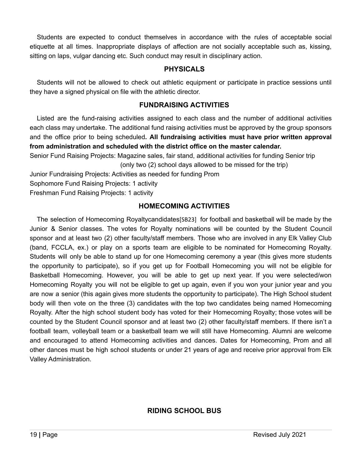Students are expected to conduct themselves in accordance with the rules of acceptable social etiquette at all times. Inappropriate displays of affection are not socially acceptable such as, kissing, sitting on laps, vulgar dancing etc. Such conduct may result in disciplinary action.

#### **PHYSICALS**

Students will not be allowed to check out athletic equipment or participate in practice sessions until they have a signed physical on file with the athletic director.

#### **FUNDRAISING ACTIVITIES**

Listed are the fund-raising activities assigned to each class and the number of additional activities each class may undertake. The additional fund raising activities must be approved by the group sponsors and the office prior to being scheduled**. All fundraising activities must have prior written approval from administration and scheduled with the district office on the master calendar.**

Senior Fund Raising Projects: Magazine sales, fair stand, additional activities for funding Senior trip (only two (2) school days allowed to be missed for the trip)

Junior Fundraising Projects: Activities as needed for funding Prom

Sophomore Fund Raising Projects: 1 activity

Freshman Fund Raising Projects: 1 activity

## **HOMECOMING ACTIVITIES**

The selection of Homecoming Royaltycandidates[SB23] for football and basketball will be made by the Junior & Senior classes. The votes for Royalty nominations will be counted by the Student Council sponsor and at least two (2) other faculty/staff members. Those who are involved in any Elk Valley Club (band, FCCLA, ex.) or play on a sports team are eligible to be nominated for Homecoming Royalty. Students will only be able to stand up for one Homecoming ceremony a year (this gives more students the opportunity to participate), so if you get up for Football Homecoming you will not be eligible for Basketball Homecoming. However, you will be able to get up next year. If you were selected/won Homecoming Royalty you will not be eligible to get up again, even if you won your junior year and you are now a senior (this again gives more students the opportunity to participate). The High School student body will then vote on the three (3) candidates with the top two candidates being named Homecoming Royalty. After the high school student body has voted for their Homecoming Royalty; those votes will be counted by the Student Council sponsor and at least two (2) other faculty/staff members. If there isn't a football team, volleyball team or a basketball team we will still have Homecoming. Alumni are welcome and encouraged to attend Homecoming activities and dances. Dates for Homecoming, Prom and all other dances must be high school students or under 21 years of age and receive prior approval from Elk Valley Administration.

## **RIDING SCHOOL BUS**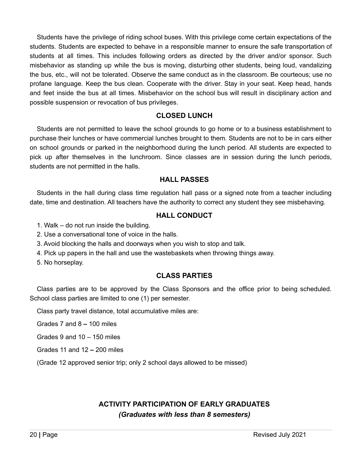Students have the privilege of riding school buses. With this privilege come certain expectations of the students. Students are expected to behave in a responsible manner to ensure the safe transportation of students at all times. This includes following orders as directed by the driver and/or sponsor. Such misbehavior as standing up while the bus is moving, disturbing other students, being loud, vandalizing the bus, etc., will not be tolerated. Observe the same conduct as in the classroom. Be courteous; use no profane language. Keep the bus clean. Cooperate with the driver. Stay in your seat. Keep head, hands and feet inside the bus at all times. Misbehavior on the school bus will result in disciplinary action and possible suspension or revocation of bus privileges.

#### **CLOSED LUNCH**

Students are not permitted to leave the school grounds to go home or to a business establishment to purchase their lunches or have commercial lunches brought to them. Students are not to be in cars either on school grounds or parked in the neighborhood during the lunch period. All students are expected to pick up after themselves in the lunchroom. Since classes are in session during the lunch periods, students are not permitted in the halls.

#### **HALL PASSES**

Students in the hall during class time regulation hall pass or a signed note from a teacher including date, time and destination. All teachers have the authority to correct any student they see misbehaving.

## **HALL CONDUCT**

- 1. Walk do not run inside the building.
- 2. Use a conversational tone of voice in the halls.
- 3. Avoid blocking the halls and doorways when you wish to stop and talk.
- 4. Pick up papers in the hall and use the wastebaskets when throwing things away.
- 5. No horseplay.

## **CLASS PARTIES**

Class parties are to be approved by the Class Sponsors and the office prior to being scheduled. School class parties are limited to one (1) per semester.

Class party travel distance, total accumulative miles are:

Grades 7 and 8 **–** 100 miles

Grades 9 and 10 – 150 miles

Grades 11 and 12 **–** 200 miles

(Grade 12 approved senior trip; only 2 school days allowed to be missed)

## **ACTIVITY PARTICIPATION OF EARLY GRADUATES** *(Graduates with less than 8 semesters)*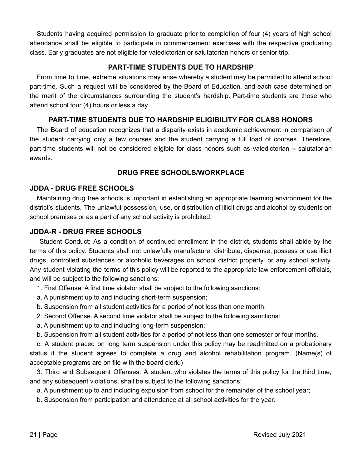Students having acquired permission to graduate prior to completion of four (4) years of high school attendance shall be eligible to participate in commencement exercises with the respective graduating class. Early graduates are not eligible for valedictorian or salutatorian honors or senior trip.

## **PART-TIME STUDENTS DUE TO HARDSHIP**

From time to time, extreme situations may arise whereby a student may be permitted to attend school part-time. Such a request will be considered by the Board of Education, and each case determined on the merit of the circumstances surrounding the student's hardship. Part-time students are those who attend school four (4) hours or less a day

## **PART-TIME STUDENTS DUE TO HARDSHIP ELIGIBILITY FOR CLASS HONORS**

The Board of education recognizes that a disparity exists in academic achievement in comparison of the student carrying only a few courses and the student carrying a full load of courses. Therefore, part-time students will not be considered eligible for class honors such as valedictorian **–** salutatorian awards.

## **DRUG FREE SCHOOLS/WORKPLACE**

## **JDDA - DRUG FREE SCHOOLS**

Maintaining drug free schools is important in establishing an appropriate learning environment for the district's students. The unlawful possession, use, or distribution of illicit drugs and alcohol by students on school premises or as a part of any school activity is prohibited.

## **JDDA-R - DRUG FREE SCHOOLS**

Student Conduct: As a condition of continued enrollment in the district, students shall abide by the terms of this policy. Students shall not unlawfully manufacture, distribute, dispense, possess or use illicit drugs, controlled substances or alcoholic beverages on school district property, or any school activity. Any student violating the terms of this policy will be reported to the appropriate law enforcement officials, and will be subject to the following sanctions:

1. First Offense. A first time violator shall be subject to the following sanctions:

- a. A punishment up to and including short-term suspension;
- b. Suspension from all student activities for a period of not less than one month.
- 2. Second Offense. A second time violator shall be subject to the following sanctions:
- a. A punishment up to and including long-term suspension;
- b. Suspension from all student activities for a period of not less than one semester or four months.

c. A student placed on long term suspension under this policy may be readmitted on a probationary status if the student agrees to complete a drug and alcohol rehabilitation program. (Name(s) of acceptable programs are on file with the board clerk.)

3. Third and Subsequent Offenses. A student who violates the terms of this policy for the third time, and any subsequent violations, shall be subject to the following sanctions:

a. A punishment up to and including expulsion from school for the remainder of the school year;

b. Suspension from participation and attendance at all school activities for the year.